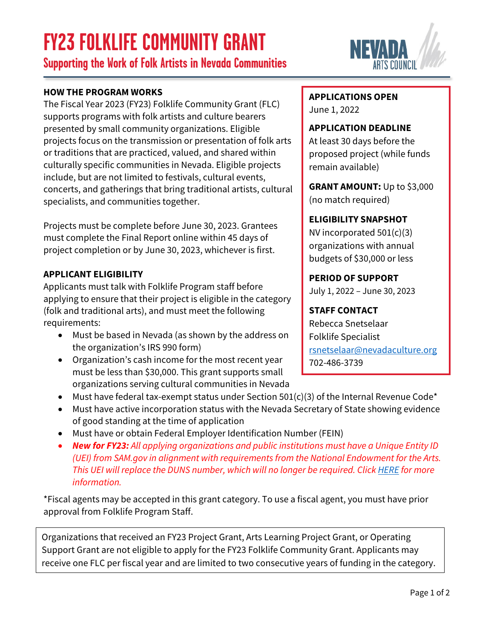## **FY23 FOLKLIFE COMMUNITY GRANT**

**Supporting the Work of Folk Artists in Nevada Communities**

### **HOW THE PROGRAM WORKS**

The Fiscal Year 2023 (FY23) Folklife Community Grant (FLC) supports programs with folk artists and culture bearers presented by small community organizations. Eligible projects focus on the transmission or presentation of folk arts or traditions that are practiced, valued, and shared within culturally specific communities in Nevada. Eligible projects include, but are not limited to festivals, cultural events, concerts, and gatherings that bring traditional artists, cultural specialists, and communities together.

Projects must be complete before June 30, 2023. Grantees must complete the Final Report online within 45 days of project completion or by June 30, 2023, whichever is first.

### **APPLICANT ELIGIBILITY**

Applicants must talk with Folklife Program staff before applying to ensure that their project is eligible in the category (folk and traditional arts), and must meet the following requirements:

- Must be based in Nevada (as shown by the address on the organization's IRS 990 form)
- Organization's cash income for the most recent year must be less than \$30,000. This grant supports small organizations serving cultural communities in Nevada
- Must have federal tax-exempt status under Section 501(c)(3) of the Internal Revenue Code\*
- Must have active incorporation status with the Nevada Secretary of State showing evidence of good standing at the time of application
- Must have or obtain Federal Employer Identification Number (FEIN)
- *New for FY23: All applying organizations and public institutions must have a Unique Entity ID (UEI) from SAM.gov in alignment with requirements from the National Endowment for the Arts. This UEI will replace the DUNS number, which will no longer be required. Click [HERE](https://www.nvartscouncil.org/grants/resources-for-grant-applicants/) for more information.*

\*Fiscal agents may be accepted in this grant category. To use a fiscal agent, you must have prior approval from Folklife Program Staff.

Organizations that received an FY23 Project Grant, Arts Learning Project Grant, or Operating Support Grant are not eligible to apply for the FY23 Folklife Community Grant. Applicants may receive one FLC per fiscal year and are limited to two consecutive years of funding in the category.

**APPLICATIONS OPEN**  June 1, 2022

**APPLICATION DEADLINE**

At least 30 days before the proposed project (while funds remain available)

**GRANT AMOUNT:** Up to \$3,000 (no match required)

### **ELIGIBILITY SNAPSHOT**

NV incorporated 501(c)(3) organizations with annual budgets of \$30,000 or less

#### **PERIOD OF SUPPORT**

July 1, 2022 – June 30, 2023

### **STAFF CONTACT**

Rebecca Snetselaar Folklife Specialist [rsnetselaar@nevadaculture.org](mailto: rsnetselaar@nevadaculture.org) 702-486-3739